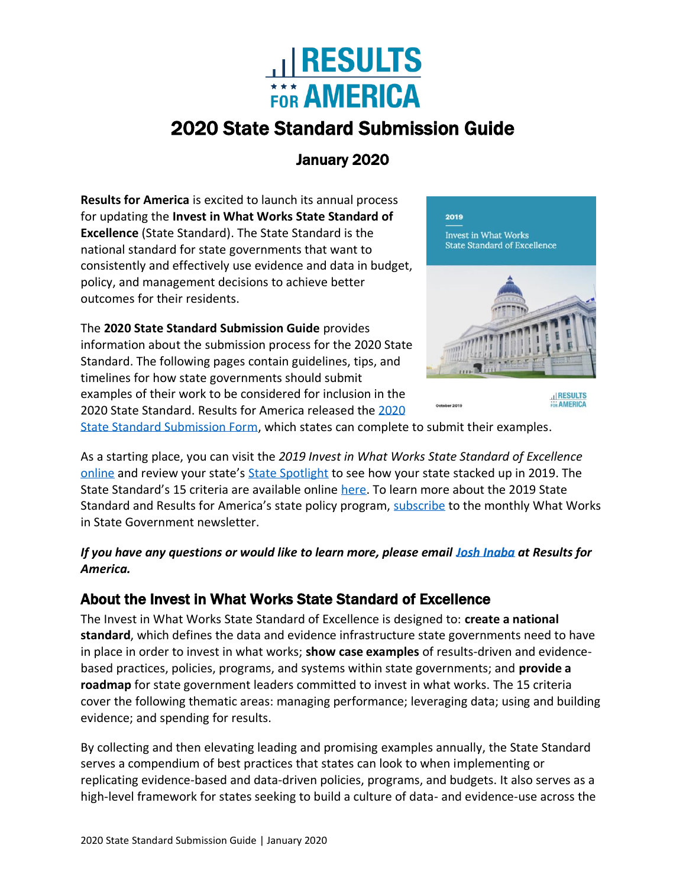

# 2020 State Standard Submission Guide

# January 2020

**Results for America** is excited to launch its annual process for updating the **Invest in What Works State Standard of Excellence** (State Standard). The State Standard is the national standard for state governments that want to consistently and effectively use evidence and data in budget, policy, and management decisions to achieve better outcomes for their residents.

The **2020 State Standard Submission Guide** provides information about the submission process for the 2020 State Standard. The following pages contain guidelines, tips, and timelines for how state governments should submit examples of their work to be considered for inclusion in the 2020 State Standard. Results for America released th[e 2020](https://results4america.org/wp-content/uploads/2020/03/State-Template-2020-State-Standard-Submission-Form-1.docx) 



,<br>2019

**AMERICA** 

[State Standard Submission Form,](https://results4america.org/wp-content/uploads/2020/03/State-Template-2020-State-Standard-Submission-Form-1.docx) which states can complete to submit their examples.

As a starting place, you can visit the *2019 Invest in What Works State Standard of Excellence* [online](https://2019state.results4america.org/) and review your state's [State Spotlight](https://2019state.results4america.org/downloads.html) to see how your state stacked up in 2019. The State Standard's 15 criteria are available online [here.](https://2019state.results4america.org/2019-criteria-and-descriptions.pdf) To learn more about the 2019 State Standard and Results for America's state policy program, [subscribe](mailto:info@results4america.org?subject=Please%20subscribe%20me%20to%20the%20What%20Works%20in%20State%20Government%20Newsletter) to the monthly What Works in State Government newsletter.

*If you have any questions or would like to learn more, please email [Josh Inaba](mailto:josh@results4america.org?subject=2020%20State%20Standard%20of%20Excellence) at Results for America.* 

## About the Invest in What Works State Standard of Excellence

The Invest in What Works State Standard of Excellence is designed to: **create a national standard**, which defines the data and evidence infrastructure state governments need to have in place in order to invest in what works; **show case examples** of results-driven and evidencebased practices, policies, programs, and systems within state governments; and **provide a roadmap** for state government leaders committed to invest in what works. The 15 criteria cover the following thematic areas: managing performance; leveraging data; using and building evidence; and spending for results.

By collecting and then elevating leading and promising examples annually, the State Standard serves a compendium of best practices that states can look to when implementing or replicating evidence-based and data-driven policies, programs, and budgets. It also serves as a high-level framework for states seeking to build a culture of data- and evidence-use across the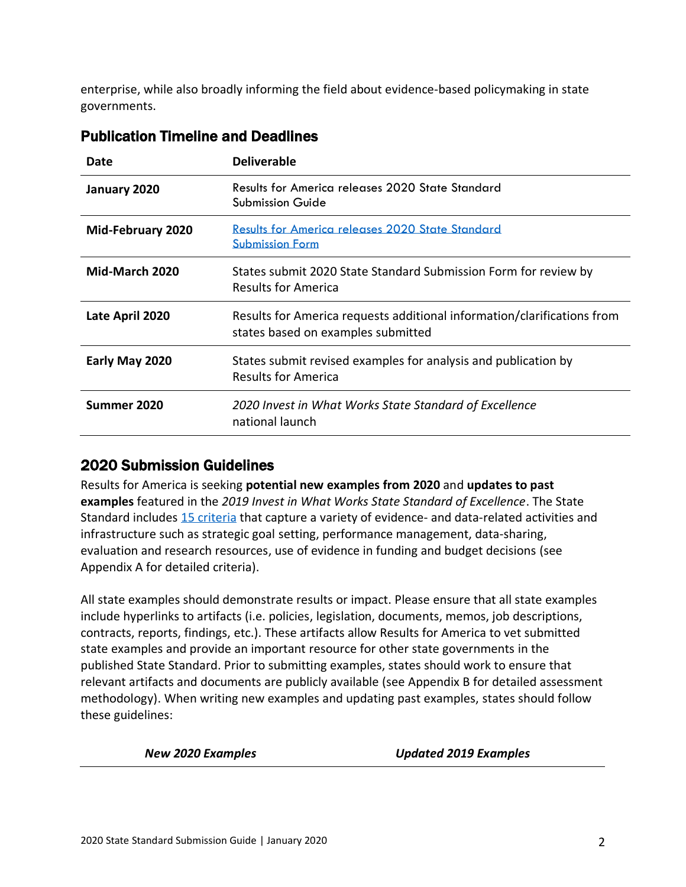enterprise, while also broadly informing the field about evidence-based policymaking in state governments.

| Date                     | <b>Deliverable</b>                                                                                            |
|--------------------------|---------------------------------------------------------------------------------------------------------------|
| January 2020             | <b>Results for America releases 2020 State Standard</b><br><b>Submission Guide</b>                            |
| <b>Mid-February 2020</b> | <b>Results for America releases 2020 State Standard</b><br><b>Submission Form</b>                             |
| Mid-March 2020           | States submit 2020 State Standard Submission Form for review by<br>Results for America                        |
| Late April 2020          | Results for America requests additional information/clarifications from<br>states based on examples submitted |
| Early May 2020           | States submit revised examples for analysis and publication by<br><b>Results for America</b>                  |
| Summer 2020              | 2020 Invest in What Works State Standard of Excellence<br>national launch                                     |

#### Publication Timeline and Deadlines

#### 2020 Submission Guidelines

Results for America is seeking **potential new examples from 2020** and **updates to past examples** featured in the *2019 Invest in What Works State Standard of Excellence*. The State Standard includes [15 criteria](https://2019state.results4america.org/2019-criteria-and-descriptions.pdf) that capture a variety of evidence- and data-related activities and infrastructure such as strategic goal setting, performance management, data-sharing, evaluation and research resources, use of evidence in funding and budget decisions (see Appendix A for detailed criteria).

All state examples should demonstrate results or impact. Please ensure that all state examples include hyperlinks to artifacts (i.e. policies, legislation, documents, memos, job descriptions, contracts, reports, findings, etc.). These artifacts allow Results for America to vet submitted state examples and provide an important resource for other state governments in the published State Standard. Prior to submitting examples, states should work to ensure that relevant artifacts and documents are publicly available (see Appendix B for detailed assessment methodology). When writing new examples and updating past examples, states should follow these guidelines:

*New 2020 Examples Updated 2019 Examples*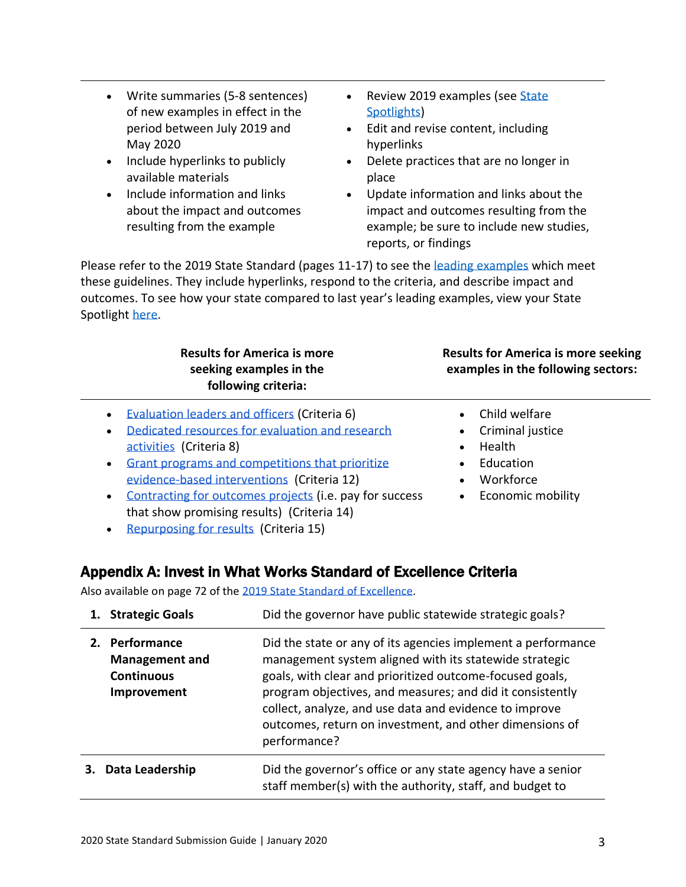- Include hyperlinks to publicly available materials
- Include information and links about the impact and outcomes resulting from the example
- Review 2019 examples (see State [Spotlights\)](https://2019state.results4america.org/downloads.html)
- Edit and revise content, including hyperlinks
- Delete practices that are no longer in place
- Update information and links about the impact and outcomes resulting from the example; be sure to include new studies, reports, or findings

Please refer to the 2019 State Standard (pages 11-17) to see the [leading examples](https://2019state.results4america.org/2019-summary-chart.pdf) which meet these guidelines. They include hyperlinks, respond to the criteria, and describe impact and outcomes. To see how your state compared to last year's leading examples, view your State Spotlight [here.](https://2019state.results4america.org/downloads.html)

#### **Results for America is more seeking examples in the following criteria:**

- [Evaluation leaders and officers](https://2019state.results4america.org/state-standard-of-excellence/evaluation-policies.html) (Criteria 6)
- [Dedicated resources for evaluation and research](https://2019state.results4america.org/state-standard-of-excellence/evaluation-resources.html)  [activities](https://2019state.results4america.org/state-standard-of-excellence/evaluation-resources.html) (Criteria 8)
- [Grant programs and competitions that prioritize](https://2019state.results4america.org/state-standard-of-excellence/use-of-evidence-in-grant-programs.html)  [evidence-based interventions](https://2019state.results4america.org/state-standard-of-excellence/use-of-evidence-in-grant-programs.html) (Criteria 12)
- [Contracting for outcomes projects](https://2019state.results4america.org/state-standard-of-excellence/contracting-for-outcomes.html) (i.e. pay for success that show promising results) (Criteria 14)
- **Results for America is more seeking examples in the following sectors:**
	- Child welfare
	- Criminal justice
	- Health
	- Education
	- Workforce
	- Economic mobility

• [Repurposing for results](https://2019state.results4america.org/state-standard-of-excellence/repurpose-for-results.html) (Criteria 15)

#### Appendix A: Invest in What Works Standard of Excellence Criteria

Also available on page 72 of the [2019 State Standard of Excellence.](https://2019state.results4america.org/2019-invest-in-what-works-state-standard-of-excellence.pdf)

| 1. Strategic Goals                                                          | Did the governor have public statewide strategic goals?                                                                                                                                                                                                                                                                                                                              |
|-----------------------------------------------------------------------------|--------------------------------------------------------------------------------------------------------------------------------------------------------------------------------------------------------------------------------------------------------------------------------------------------------------------------------------------------------------------------------------|
| 2. Performance<br><b>Management and</b><br><b>Continuous</b><br>Improvement | Did the state or any of its agencies implement a performance<br>management system aligned with its statewide strategic<br>goals, with clear and prioritized outcome-focused goals,<br>program objectives, and measures; and did it consistently<br>collect, analyze, and use data and evidence to improve<br>outcomes, return on investment, and other dimensions of<br>performance? |
| Data Leadership                                                             | Did the governor's office or any state agency have a senior<br>staff member(s) with the authority, staff, and budget to                                                                                                                                                                                                                                                              |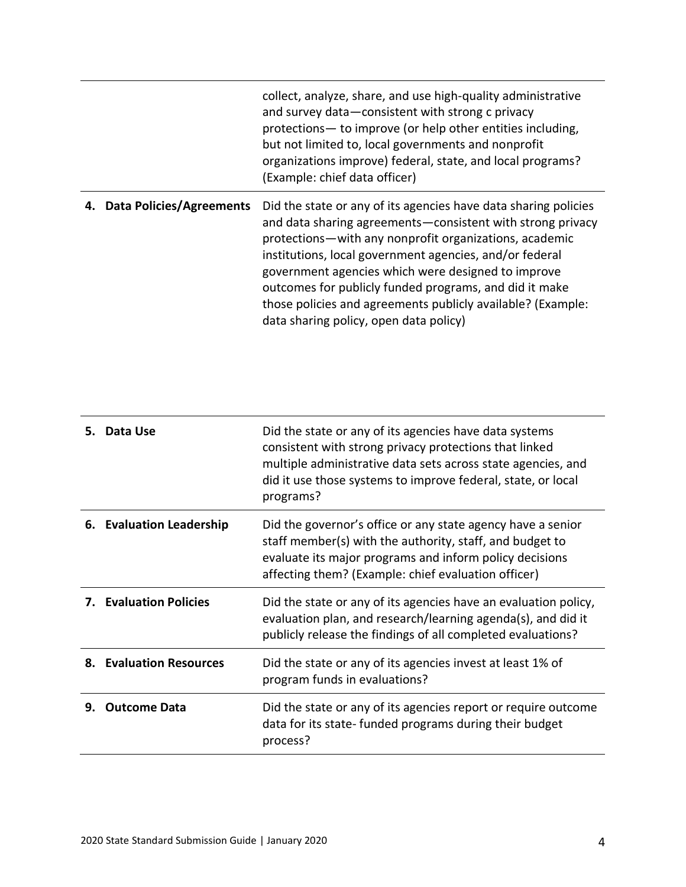|                             | collect, analyze, share, and use high-quality administrative<br>and survey data-consistent with strong c privacy<br>protections - to improve (or help other entities including,<br>but not limited to, local governments and nonprofit<br>organizations improve) federal, state, and local programs?<br>(Example: chief data officer)                                                                                                                                         |
|-----------------------------|-------------------------------------------------------------------------------------------------------------------------------------------------------------------------------------------------------------------------------------------------------------------------------------------------------------------------------------------------------------------------------------------------------------------------------------------------------------------------------|
| 4. Data Policies/Agreements | Did the state or any of its agencies have data sharing policies<br>and data sharing agreements - consistent with strong privacy<br>protections—with any nonprofit organizations, academic<br>institutions, local government agencies, and/or federal<br>government agencies which were designed to improve<br>outcomes for publicly funded programs, and did it make<br>those policies and agreements publicly available? (Example:<br>data sharing policy, open data policy) |

| 5. | Data Use                      | Did the state or any of its agencies have data systems<br>consistent with strong privacy protections that linked<br>multiple administrative data sets across state agencies, and<br>did it use those systems to improve federal, state, or local<br>programs? |
|----|-------------------------------|---------------------------------------------------------------------------------------------------------------------------------------------------------------------------------------------------------------------------------------------------------------|
|    | 6. Evaluation Leadership      | Did the governor's office or any state agency have a senior<br>staff member(s) with the authority, staff, and budget to<br>evaluate its major programs and inform policy decisions<br>affecting them? (Example: chief evaluation officer)                     |
|    | <b>7. Evaluation Policies</b> | Did the state or any of its agencies have an evaluation policy,<br>evaluation plan, and research/learning agenda(s), and did it<br>publicly release the findings of all completed evaluations?                                                                |
| 8. | <b>Evaluation Resources</b>   | Did the state or any of its agencies invest at least 1% of<br>program funds in evaluations?                                                                                                                                                                   |
| 9. | <b>Outcome Data</b>           | Did the state or any of its agencies report or require outcome<br>data for its state- funded programs during their budget<br>process?                                                                                                                         |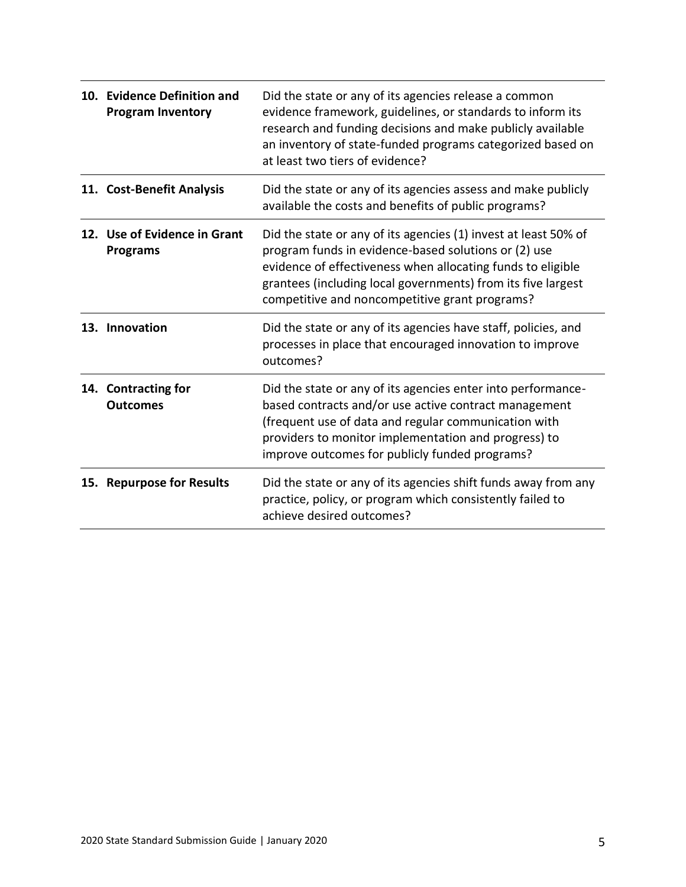| 10. Evidence Definition and<br><b>Program Inventory</b> | Did the state or any of its agencies release a common<br>evidence framework, guidelines, or standards to inform its<br>research and funding decisions and make publicly available<br>an inventory of state-funded programs categorized based on<br>at least two tiers of evidence?                       |
|---------------------------------------------------------|----------------------------------------------------------------------------------------------------------------------------------------------------------------------------------------------------------------------------------------------------------------------------------------------------------|
| 11. Cost-Benefit Analysis                               | Did the state or any of its agencies assess and make publicly<br>available the costs and benefits of public programs?                                                                                                                                                                                    |
| 12. Use of Evidence in Grant<br><b>Programs</b>         | Did the state or any of its agencies (1) invest at least 50% of<br>program funds in evidence-based solutions or (2) use<br>evidence of effectiveness when allocating funds to eligible<br>grantees (including local governments) from its five largest<br>competitive and noncompetitive grant programs? |
| 13. Innovation                                          | Did the state or any of its agencies have staff, policies, and<br>processes in place that encouraged innovation to improve<br>outcomes?                                                                                                                                                                  |
| 14. Contracting for<br><b>Outcomes</b>                  | Did the state or any of its agencies enter into performance-<br>based contracts and/or use active contract management<br>(frequent use of data and regular communication with<br>providers to monitor implementation and progress) to<br>improve outcomes for publicly funded programs?                  |
| 15. Repurpose for Results                               | Did the state or any of its agencies shift funds away from any<br>practice, policy, or program which consistently failed to<br>achieve desired outcomes?                                                                                                                                                 |